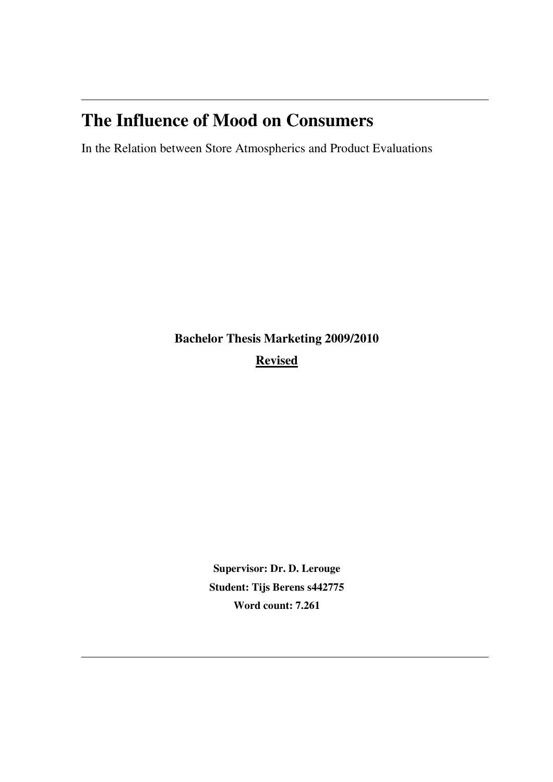# **The Influence of Mood on Consumers**

In the Relation between Store Atmospherics and Product Evaluations

**Bachelor Thesis Marketing 2009/2010 Revised**

> **Supervisor: Dr. D. Lerouge Student: Tijs Berens s442775 Word count: 7.261**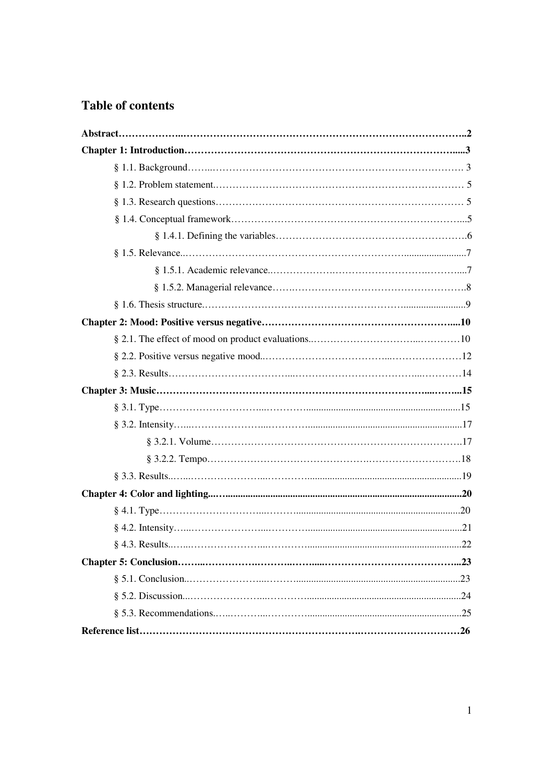# **Table of contents**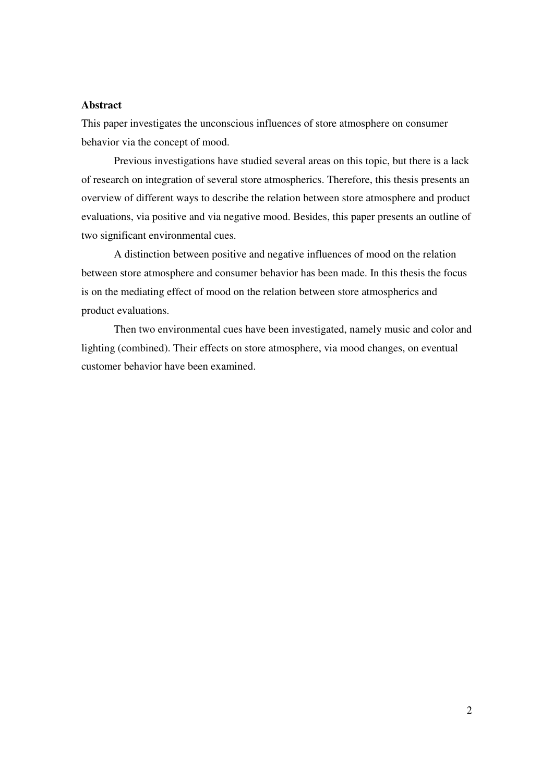# **Abstract**

This paper investigates the unconscious influences of store atmosphere on consumer behavior via the concept of mood.

 Previous investigations have studied several areas on this topic, but there is a lack of research on integration of several store atmospherics. Therefore, this thesis presents an overview of different ways to describe the relation between store atmosphere and product evaluations, via positive and via negative mood. Besides, this paper presents an outline of two significant environmental cues.

 A distinction between positive and negative influences of mood on the relation between store atmosphere and consumer behavior has been made. In this thesis the focus is on the mediating effect of mood on the relation between store atmospherics and product evaluations.

 Then two environmental cues have been investigated, namely music and color and lighting (combined). Their effects on store atmosphere, via mood changes, on eventual customer behavior have been examined.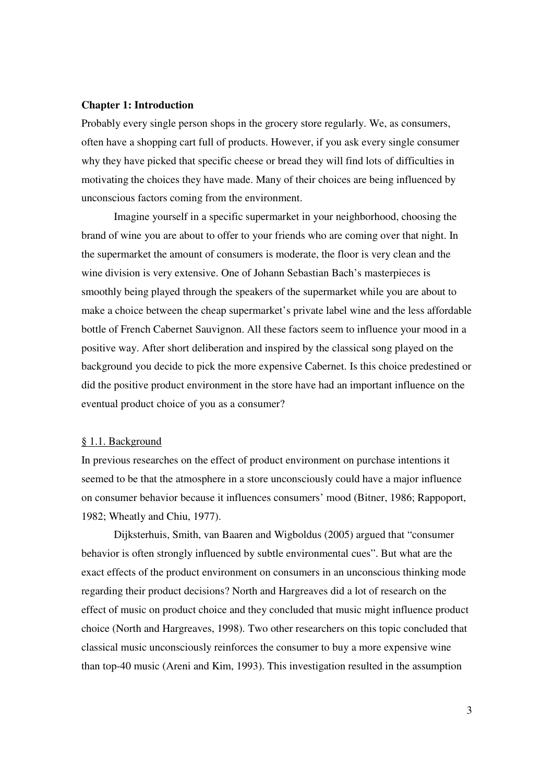#### **Chapter 1: Introduction**

Probably every single person shops in the grocery store regularly. We, as consumers, often have a shopping cart full of products. However, if you ask every single consumer why they have picked that specific cheese or bread they will find lots of difficulties in motivating the choices they have made. Many of their choices are being influenced by unconscious factors coming from the environment.

 Imagine yourself in a specific supermarket in your neighborhood, choosing the brand of wine you are about to offer to your friends who are coming over that night. In the supermarket the amount of consumers is moderate, the floor is very clean and the wine division is very extensive. One of Johann Sebastian Bach's masterpieces is smoothly being played through the speakers of the supermarket while you are about to make a choice between the cheap supermarket's private label wine and the less affordable bottle of French Cabernet Sauvignon. All these factors seem to influence your mood in a positive way. After short deliberation and inspired by the classical song played on the background you decide to pick the more expensive Cabernet. Is this choice predestined or did the positive product environment in the store have had an important influence on the eventual product choice of you as a consumer?

# § 1.1. Background

In previous researches on the effect of product environment on purchase intentions it seemed to be that the atmosphere in a store unconsciously could have a major influence on consumer behavior because it influences consumers' mood (Bitner, 1986; Rappoport, 1982; Wheatly and Chiu, 1977).

 Dijksterhuis, Smith, van Baaren and Wigboldus (2005) argued that "consumer behavior is often strongly influenced by subtle environmental cues". But what are the exact effects of the product environment on consumers in an unconscious thinking mode regarding their product decisions? North and Hargreaves did a lot of research on the effect of music on product choice and they concluded that music might influence product choice (North and Hargreaves, 1998). Two other researchers on this topic concluded that classical music unconsciously reinforces the consumer to buy a more expensive wine than top-40 music (Areni and Kim, 1993). This investigation resulted in the assumption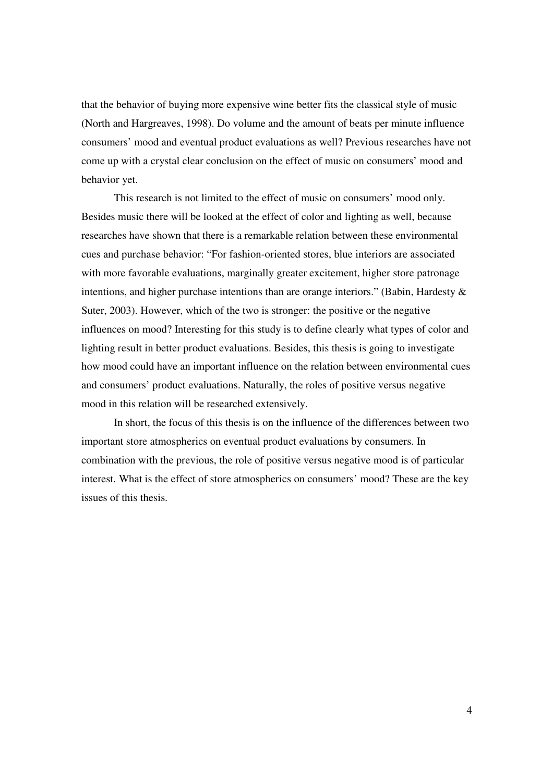that the behavior of buying more expensive wine better fits the classical style of music (North and Hargreaves, 1998). Do volume and the amount of beats per minute influence consumers' mood and eventual product evaluations as well? Previous researches have not come up with a crystal clear conclusion on the effect of music on consumers' mood and behavior yet.

 This research is not limited to the effect of music on consumers' mood only. Besides music there will be looked at the effect of color and lighting as well, because researches have shown that there is a remarkable relation between these environmental cues and purchase behavior: "For fashion-oriented stores, blue interiors are associated with more favorable evaluations, marginally greater excitement, higher store patronage intentions, and higher purchase intentions than are orange interiors." (Babin, Hardesty  $\&$ Suter, 2003). However, which of the two is stronger: the positive or the negative influences on mood? Interesting for this study is to define clearly what types of color and lighting result in better product evaluations. Besides, this thesis is going to investigate how mood could have an important influence on the relation between environmental cues and consumers' product evaluations. Naturally, the roles of positive versus negative mood in this relation will be researched extensively.

 In short, the focus of this thesis is on the influence of the differences between two important store atmospherics on eventual product evaluations by consumers. In combination with the previous, the role of positive versus negative mood is of particular interest. What is the effect of store atmospherics on consumers' mood? These are the key issues of this thesis.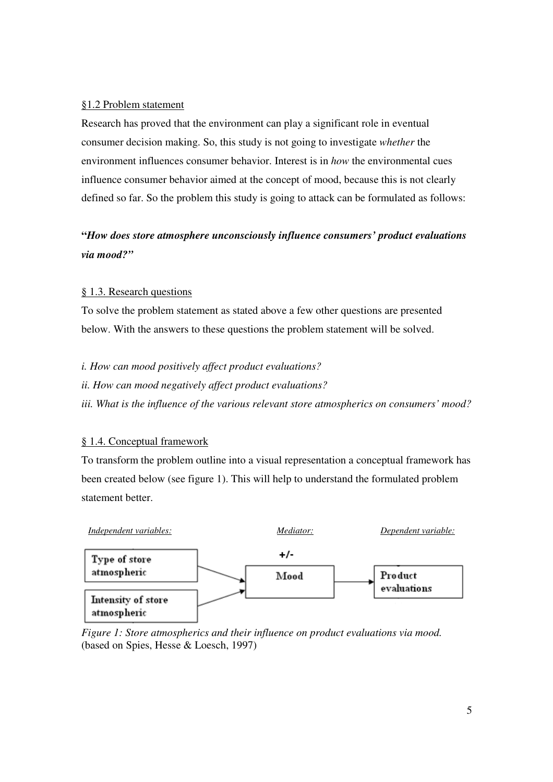# §1.2 Problem statement

Research has proved that the environment can play a significant role in eventual consumer decision making. So, this study is not going to investigate *whether* the environment influences consumer behavior. Interest is in *how* the environmental cues influence consumer behavior aimed at the concept of mood, because this is not clearly defined so far. So the problem this study is going to attack can be formulated as follows:

# **"***How does store atmosphere unconsciously influence consumers' product evaluations via mood?"*

# § 1.3. Research questions

To solve the problem statement as stated above a few other questions are presented below. With the answers to these questions the problem statement will be solved.

*i. How can mood positively affect product evaluations?* 

*ii. How can mood negatively affect product evaluations?* 

*iii. What is the influence of the various relevant store atmospherics on consumers' mood?* 

# § 1.4. Conceptual framework

To transform the problem outline into a visual representation a conceptual framework has been created below (see figure 1). This will help to understand the formulated problem statement better.



*Figure 1: Store atmospherics and their influence on product evaluations via mood.*  (based on Spies, Hesse & Loesch, 1997)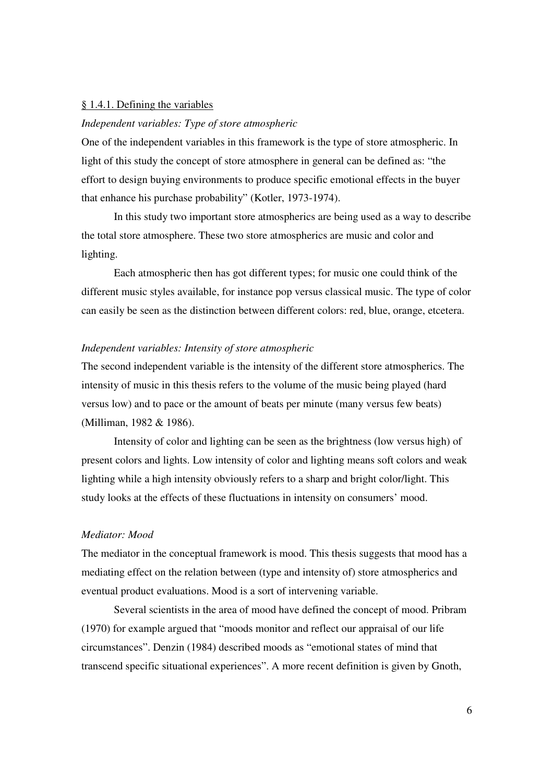#### § 1.4.1. Defining the variables

# *Independent variables: Type of store atmospheric*

One of the independent variables in this framework is the type of store atmospheric. In light of this study the concept of store atmosphere in general can be defined as: "the effort to design buying environments to produce specific emotional effects in the buyer that enhance his purchase probability" (Kotler, 1973-1974).

 In this study two important store atmospherics are being used as a way to describe the total store atmosphere. These two store atmospherics are music and color and lighting.

 Each atmospheric then has got different types; for music one could think of the different music styles available, for instance pop versus classical music. The type of color can easily be seen as the distinction between different colors: red, blue, orange, etcetera.

### *Independent variables: Intensity of store atmospheric*

The second independent variable is the intensity of the different store atmospherics. The intensity of music in this thesis refers to the volume of the music being played (hard versus low) and to pace or the amount of beats per minute (many versus few beats) (Milliman, 1982 & 1986).

 Intensity of color and lighting can be seen as the brightness (low versus high) of present colors and lights. Low intensity of color and lighting means soft colors and weak lighting while a high intensity obviously refers to a sharp and bright color/light. This study looks at the effects of these fluctuations in intensity on consumers' mood.

#### *Mediator: Mood*

The mediator in the conceptual framework is mood. This thesis suggests that mood has a mediating effect on the relation between (type and intensity of) store atmospherics and eventual product evaluations. Mood is a sort of intervening variable.

 Several scientists in the area of mood have defined the concept of mood. Pribram (1970) for example argued that "moods monitor and reflect our appraisal of our life circumstances". Denzin (1984) described moods as "emotional states of mind that transcend specific situational experiences". A more recent definition is given by Gnoth,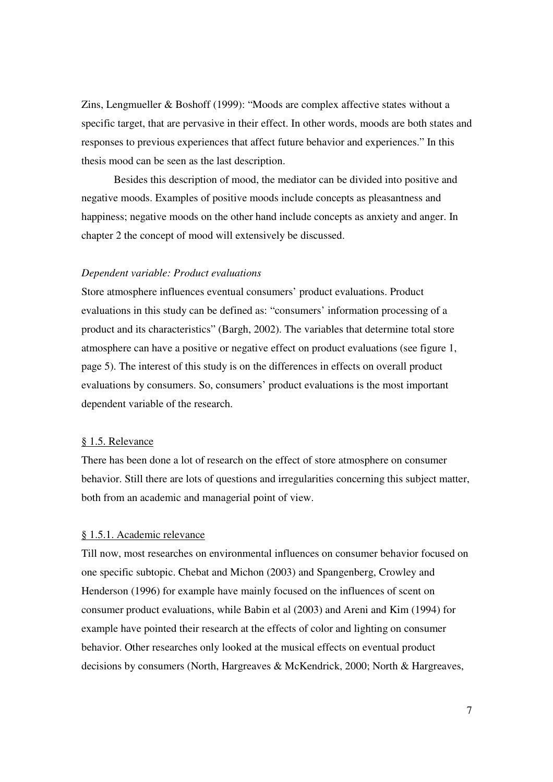Zins, Lengmueller & Boshoff (1999): "Moods are complex affective states without a specific target, that are pervasive in their effect. In other words, moods are both states and responses to previous experiences that affect future behavior and experiences." In this thesis mood can be seen as the last description.

 Besides this description of mood, the mediator can be divided into positive and negative moods. Examples of positive moods include concepts as pleasantness and happiness; negative moods on the other hand include concepts as anxiety and anger. In chapter 2 the concept of mood will extensively be discussed.

#### *Dependent variable: Product evaluations*

Store atmosphere influences eventual consumers' product evaluations. Product evaluations in this study can be defined as: "consumers' information processing of a product and its characteristics" (Bargh, 2002). The variables that determine total store atmosphere can have a positive or negative effect on product evaluations (see figure 1, page 5). The interest of this study is on the differences in effects on overall product evaluations by consumers. So, consumers' product evaluations is the most important dependent variable of the research.

# § 1.5. Relevance

There has been done a lot of research on the effect of store atmosphere on consumer behavior. Still there are lots of questions and irregularities concerning this subject matter, both from an academic and managerial point of view.

# § 1.5.1. Academic relevance

Till now, most researches on environmental influences on consumer behavior focused on one specific subtopic. Chebat and Michon (2003) and Spangenberg, Crowley and Henderson (1996) for example have mainly focused on the influences of scent on consumer product evaluations, while Babin et al (2003) and Areni and Kim (1994) for example have pointed their research at the effects of color and lighting on consumer behavior. Other researches only looked at the musical effects on eventual product decisions by consumers (North, Hargreaves & McKendrick, 2000; North & Hargreaves,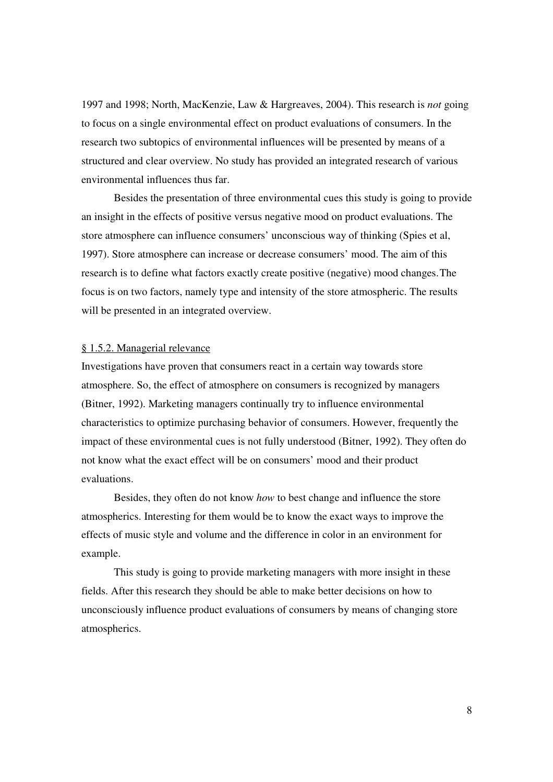1997 and 1998; North, MacKenzie, Law & Hargreaves, 2004). This research is *not* going to focus on a single environmental effect on product evaluations of consumers. In the research two subtopics of environmental influences will be presented by means of a structured and clear overview. No study has provided an integrated research of various environmental influences thus far.

 Besides the presentation of three environmental cues this study is going to provide an insight in the effects of positive versus negative mood on product evaluations. The store atmosphere can influence consumers' unconscious way of thinking (Spies et al, 1997). Store atmosphere can increase or decrease consumers' mood. The aim of this research is to define what factors exactly create positive (negative) mood changes. The focus is on two factors, namely type and intensity of the store atmospheric. The results will be presented in an integrated overview.

# § 1.5.2. Managerial relevance

Investigations have proven that consumers react in a certain way towards store atmosphere. So, the effect of atmosphere on consumers is recognized by managers (Bitner, 1992). Marketing managers continually try to influence environmental characteristics to optimize purchasing behavior of consumers. However, frequently the impact of these environmental cues is not fully understood (Bitner, 1992). They often do not know what the exact effect will be on consumers' mood and their product evaluations.

 Besides, they often do not know *how* to best change and influence the store atmospherics. Interesting for them would be to know the exact ways to improve the effects of music style and volume and the difference in color in an environment for example.

 This study is going to provide marketing managers with more insight in these fields. After this research they should be able to make better decisions on how to unconsciously influence product evaluations of consumers by means of changing store atmospherics.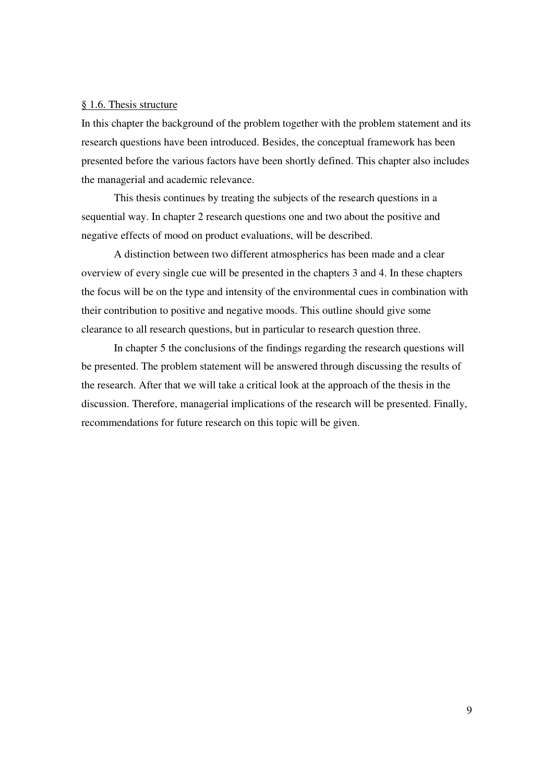#### § 1.6. Thesis structure

In this chapter the background of the problem together with the problem statement and its research questions have been introduced. Besides, the conceptual framework has been presented before the various factors have been shortly defined. This chapter also includes the managerial and academic relevance.

 This thesis continues by treating the subjects of the research questions in a sequential way. In chapter 2 research questions one and two about the positive and negative effects of mood on product evaluations, will be described.

 A distinction between two different atmospherics has been made and a clear overview of every single cue will be presented in the chapters 3 and 4. In these chapters the focus will be on the type and intensity of the environmental cues in combination with their contribution to positive and negative moods. This outline should give some clearance to all research questions, but in particular to research question three.

 In chapter 5 the conclusions of the findings regarding the research questions will be presented. The problem statement will be answered through discussing the results of the research. After that we will take a critical look at the approach of the thesis in the discussion. Therefore, managerial implications of the research will be presented. Finally, recommendations for future research on this topic will be given.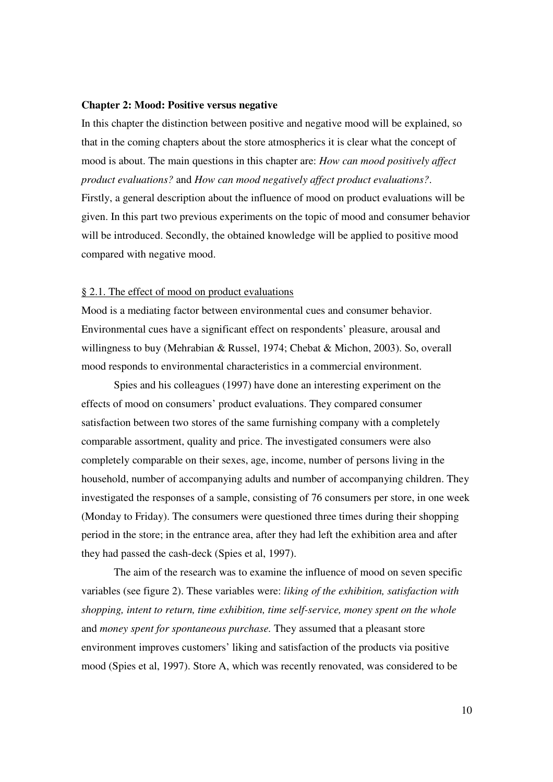#### **Chapter 2: Mood: Positive versus negative**

In this chapter the distinction between positive and negative mood will be explained, so that in the coming chapters about the store atmospherics it is clear what the concept of mood is about. The main questions in this chapter are: *How can mood positively affect product evaluations?* and *How can mood negatively affect product evaluations?*. Firstly, a general description about the influence of mood on product evaluations will be given. In this part two previous experiments on the topic of mood and consumer behavior will be introduced. Secondly, the obtained knowledge will be applied to positive mood compared with negative mood.

#### § 2.1. The effect of mood on product evaluations

Mood is a mediating factor between environmental cues and consumer behavior. Environmental cues have a significant effect on respondents' pleasure, arousal and willingness to buy (Mehrabian & Russel, 1974; Chebat & Michon, 2003). So, overall mood responds to environmental characteristics in a commercial environment.

 Spies and his colleagues (1997) have done an interesting experiment on the effects of mood on consumers' product evaluations. They compared consumer satisfaction between two stores of the same furnishing company with a completely comparable assortment, quality and price. The investigated consumers were also completely comparable on their sexes, age, income, number of persons living in the household, number of accompanying adults and number of accompanying children. They investigated the responses of a sample, consisting of 76 consumers per store, in one week (Monday to Friday). The consumers were questioned three times during their shopping period in the store; in the entrance area, after they had left the exhibition area and after they had passed the cash-deck (Spies et al, 1997).

 The aim of the research was to examine the influence of mood on seven specific variables (see figure 2). These variables were: *liking of the exhibition, satisfaction with shopping, intent to return, time exhibition, time self-service, money spent on the whole*  and *money spent for spontaneous purchase.* They assumed that a pleasant store environment improves customers' liking and satisfaction of the products via positive mood (Spies et al, 1997). Store A, which was recently renovated, was considered to be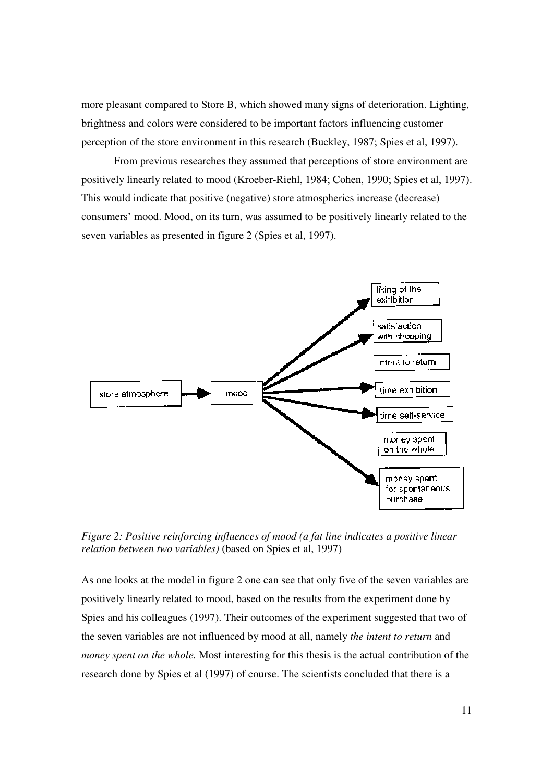more pleasant compared to Store B, which showed many signs of deterioration. Lighting, brightness and colors were considered to be important factors influencing customer perception of the store environment in this research (Buckley, 1987; Spies et al, 1997).

 From previous researches they assumed that perceptions of store environment are positively linearly related to mood (Kroeber-Riehl, 1984; Cohen, 1990; Spies et al, 1997). This would indicate that positive (negative) store atmospherics increase (decrease) consumers' mood. Mood, on its turn, was assumed to be positively linearly related to the seven variables as presented in figure 2 (Spies et al, 1997).



*Figure 2: Positive reinforcing influences of mood (a fat line indicates a positive linear relation between two variables)* (based on Spies et al, 1997)

As one looks at the model in figure 2 one can see that only five of the seven variables are positively linearly related to mood, based on the results from the experiment done by Spies and his colleagues (1997). Their outcomes of the experiment suggested that two of the seven variables are not influenced by mood at all, namely *the intent to return* and *money spent on the whole.* Most interesting for this thesis is the actual contribution of the research done by Spies et al (1997) of course. The scientists concluded that there is a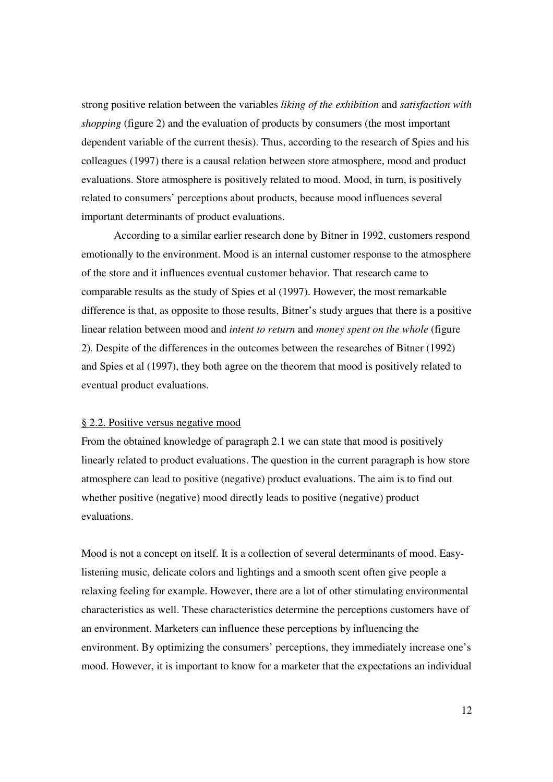strong positive relation between the variables *liking of the exhibition* and *satisfaction with shopping* (figure 2) and the evaluation of products by consumers (the most important dependent variable of the current thesis). Thus, according to the research of Spies and his colleagues (1997) there is a causal relation between store atmosphere, mood and product evaluations. Store atmosphere is positively related to mood. Mood, in turn, is positively related to consumers' perceptions about products, because mood influences several important determinants of product evaluations.

 According to a similar earlier research done by Bitner in 1992, customers respond emotionally to the environment. Mood is an internal customer response to the atmosphere of the store and it influences eventual customer behavior. That research came to comparable results as the study of Spies et al (1997). However, the most remarkable difference is that, as opposite to those results, Bitner's study argues that there is a positive linear relation between mood and *intent to return* and *money spent on the whole* (figure 2)*.* Despite of the differences in the outcomes between the researches of Bitner (1992) and Spies et al (1997), they both agree on the theorem that mood is positively related to eventual product evaluations.

# § 2.2. Positive versus negative mood

From the obtained knowledge of paragraph 2.1 we can state that mood is positively linearly related to product evaluations. The question in the current paragraph is how store atmosphere can lead to positive (negative) product evaluations. The aim is to find out whether positive (negative) mood directly leads to positive (negative) product evaluations.

Mood is not a concept on itself. It is a collection of several determinants of mood. Easylistening music, delicate colors and lightings and a smooth scent often give people a relaxing feeling for example. However, there are a lot of other stimulating environmental characteristics as well. These characteristics determine the perceptions customers have of an environment. Marketers can influence these perceptions by influencing the environment. By optimizing the consumers' perceptions, they immediately increase one's mood. However, it is important to know for a marketer that the expectations an individual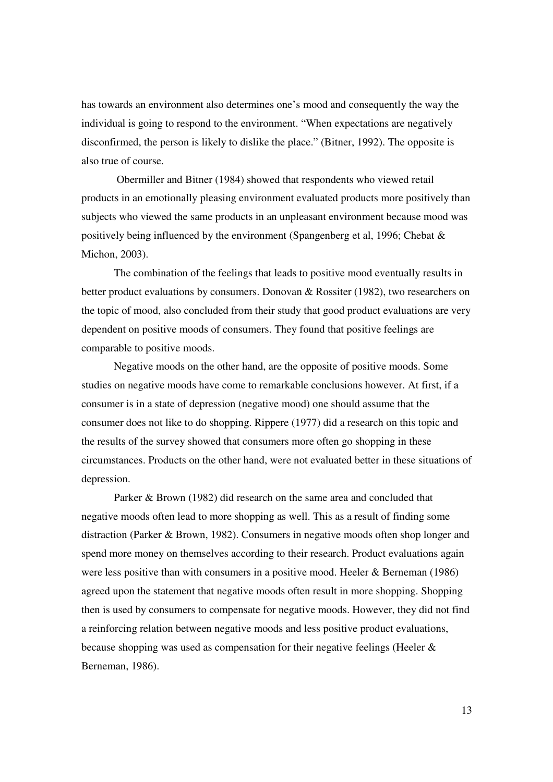has towards an environment also determines one's mood and consequently the way the individual is going to respond to the environment. "When expectations are negatively disconfirmed, the person is likely to dislike the place." (Bitner, 1992). The opposite is also true of course.

 Obermiller and Bitner (1984) showed that respondents who viewed retail products in an emotionally pleasing environment evaluated products more positively than subjects who viewed the same products in an unpleasant environment because mood was positively being influenced by the environment (Spangenberg et al, 1996; Chebat & Michon, 2003).

 The combination of the feelings that leads to positive mood eventually results in better product evaluations by consumers. Donovan & Rossiter (1982), two researchers on the topic of mood, also concluded from their study that good product evaluations are very dependent on positive moods of consumers. They found that positive feelings are comparable to positive moods.

 Negative moods on the other hand, are the opposite of positive moods. Some studies on negative moods have come to remarkable conclusions however. At first, if a consumer is in a state of depression (negative mood) one should assume that the consumer does not like to do shopping. Rippere (1977) did a research on this topic and the results of the survey showed that consumers more often go shopping in these circumstances. Products on the other hand, were not evaluated better in these situations of depression.

 Parker & Brown (1982) did research on the same area and concluded that negative moods often lead to more shopping as well. This as a result of finding some distraction (Parker & Brown, 1982). Consumers in negative moods often shop longer and spend more money on themselves according to their research. Product evaluations again were less positive than with consumers in a positive mood. Heeler & Berneman (1986) agreed upon the statement that negative moods often result in more shopping. Shopping then is used by consumers to compensate for negative moods. However, they did not find a reinforcing relation between negative moods and less positive product evaluations, because shopping was used as compensation for their negative feelings (Heeler & Berneman, 1986).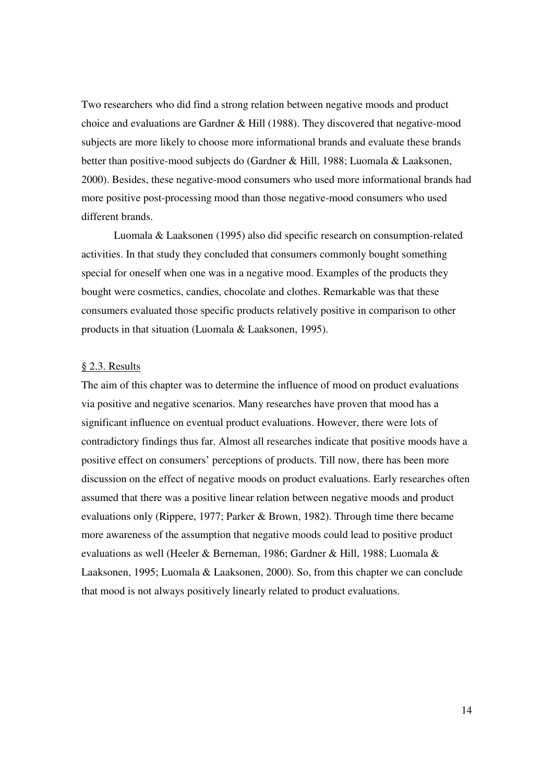Two researchers who did find a strong relation between negative moods and product choice and evaluations are Gardner & Hill (1988). They discovered that negative-mood subjects are more likely to choose more informational brands and evaluate these brands better than positive-mood subjects do (Gardner & Hill, 1988; Luomala & Laaksonen, 2000). Besides, these negative-mood consumers who used more informational brands had more positive post-processing mood than those negative-mood consumers who used different brands.

 Luomala & Laaksonen (1995) also did specific research on consumption-related activities. In that study they concluded that consumers commonly bought something special for oneself when one was in a negative mood. Examples of the products they bought were cosmetics, candies, chocolate and clothes. Remarkable was that these consumers evaluated those specific products relatively positive in comparison to other products in that situation (Luomala & Laaksonen, 1995).

# § 2.3. Results

The aim of this chapter was to determine the influence of mood on product evaluations via positive and negative scenarios. Many researches have proven that mood has a significant influence on eventual product evaluations. However, there were lots of contradictory findings thus far. Almost all researches indicate that positive moods have a positive effect on consumers' perceptions of products. Till now, there has been more discussion on the effect of negative moods on product evaluations. Early researches often assumed that there was a positive linear relation between negative moods and product evaluations only (Rippere, 1977; Parker & Brown, 1982). Through time there became more awareness of the assumption that negative moods could lead to positive product evaluations as well (Heeler & Berneman, 1986; Gardner & Hill, 1988; Luomala & Laaksonen, 1995; Luomala & Laaksonen, 2000). So, from this chapter we can conclude that mood is not always positively linearly related to product evaluations.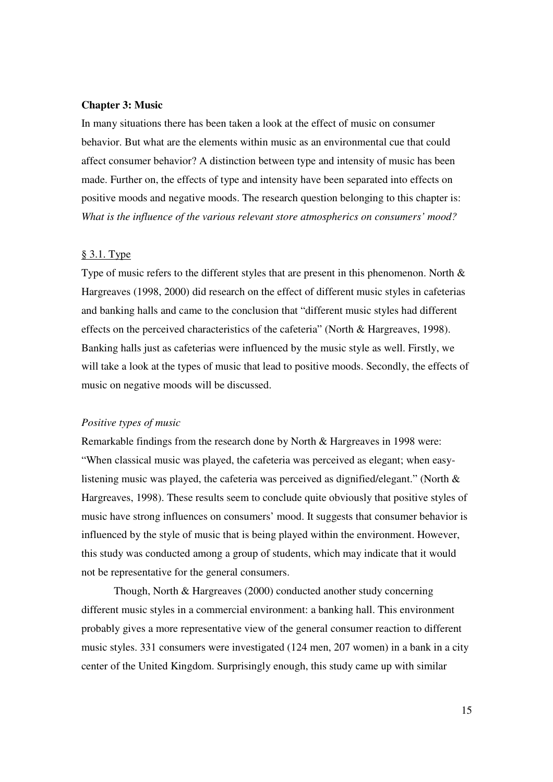#### **Chapter 3: Music**

In many situations there has been taken a look at the effect of music on consumer behavior. But what are the elements within music as an environmental cue that could affect consumer behavior? A distinction between type and intensity of music has been made. Further on, the effects of type and intensity have been separated into effects on positive moods and negative moods. The research question belonging to this chapter is: *What is the influence of the various relevant store atmospherics on consumers' mood?* 

#### § 3.1. Type

Type of music refers to the different styles that are present in this phenomenon. North  $\&$ Hargreaves (1998, 2000) did research on the effect of different music styles in cafeterias and banking halls and came to the conclusion that "different music styles had different effects on the perceived characteristics of the cafeteria" (North & Hargreaves, 1998). Banking halls just as cafeterias were influenced by the music style as well. Firstly, we will take a look at the types of music that lead to positive moods. Secondly, the effects of music on negative moods will be discussed.

# *Positive types of music*

Remarkable findings from the research done by North & Hargreaves in 1998 were: "When classical music was played, the cafeteria was perceived as elegant; when easylistening music was played, the cafeteria was perceived as dignified/elegant." (North & Hargreaves, 1998). These results seem to conclude quite obviously that positive styles of music have strong influences on consumers' mood. It suggests that consumer behavior is influenced by the style of music that is being played within the environment. However, this study was conducted among a group of students, which may indicate that it would not be representative for the general consumers.

 Though, North & Hargreaves (2000) conducted another study concerning different music styles in a commercial environment: a banking hall. This environment probably gives a more representative view of the general consumer reaction to different music styles. 331 consumers were investigated (124 men, 207 women) in a bank in a city center of the United Kingdom. Surprisingly enough, this study came up with similar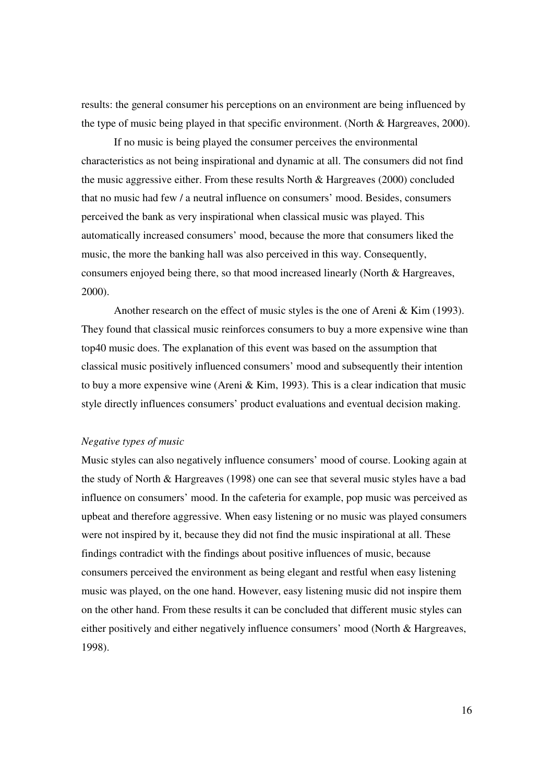results: the general consumer his perceptions on an environment are being influenced by the type of music being played in that specific environment. (North & Hargreaves, 2000).

 If no music is being played the consumer perceives the environmental characteristics as not being inspirational and dynamic at all. The consumers did not find the music aggressive either. From these results North & Hargreaves (2000) concluded that no music had few / a neutral influence on consumers' mood. Besides, consumers perceived the bank as very inspirational when classical music was played. This automatically increased consumers' mood, because the more that consumers liked the music, the more the banking hall was also perceived in this way. Consequently, consumers enjoyed being there, so that mood increased linearly (North & Hargreaves, 2000).

 Another research on the effect of music styles is the one of Areni & Kim (1993). They found that classical music reinforces consumers to buy a more expensive wine than top40 music does. The explanation of this event was based on the assumption that classical music positively influenced consumers' mood and subsequently their intention to buy a more expensive wine (Areni & Kim, 1993). This is a clear indication that music style directly influences consumers' product evaluations and eventual decision making.

# *Negative types of music*

Music styles can also negatively influence consumers' mood of course. Looking again at the study of North & Hargreaves (1998) one can see that several music styles have a bad influence on consumers' mood. In the cafeteria for example, pop music was perceived as upbeat and therefore aggressive. When easy listening or no music was played consumers were not inspired by it, because they did not find the music inspirational at all. These findings contradict with the findings about positive influences of music, because consumers perceived the environment as being elegant and restful when easy listening music was played, on the one hand. However, easy listening music did not inspire them on the other hand. From these results it can be concluded that different music styles can either positively and either negatively influence consumers' mood (North & Hargreaves, 1998).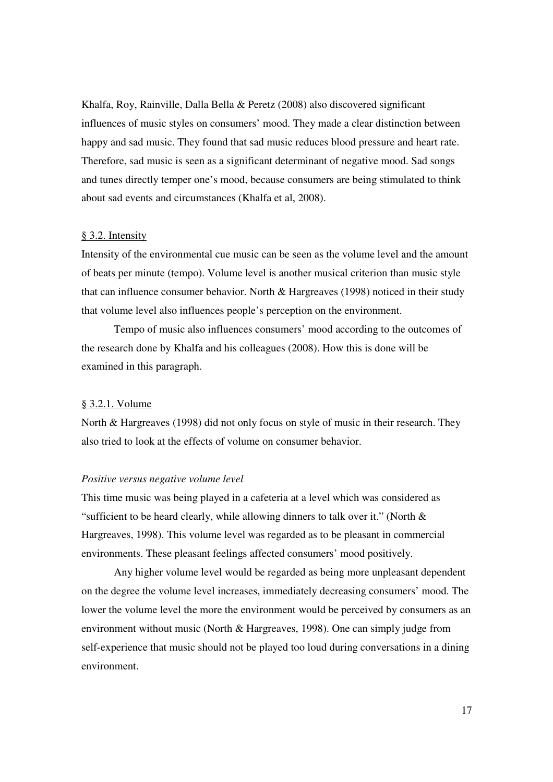Khalfa, Roy, Rainville, Dalla Bella & Peretz (2008) also discovered significant influences of music styles on consumers' mood. They made a clear distinction between happy and sad music. They found that sad music reduces blood pressure and heart rate. Therefore, sad music is seen as a significant determinant of negative mood. Sad songs and tunes directly temper one's mood, because consumers are being stimulated to think about sad events and circumstances (Khalfa et al, 2008).

#### § 3.2. Intensity

Intensity of the environmental cue music can be seen as the volume level and the amount of beats per minute (tempo). Volume level is another musical criterion than music style that can influence consumer behavior. North & Hargreaves (1998) noticed in their study that volume level also influences people's perception on the environment.

 Tempo of music also influences consumers' mood according to the outcomes of the research done by Khalfa and his colleagues (2008). How this is done will be examined in this paragraph.

#### § 3.2.1. Volume

North & Hargreaves (1998) did not only focus on style of music in their research. They also tried to look at the effects of volume on consumer behavior.

#### *Positive versus negative volume level*

This time music was being played in a cafeteria at a level which was considered as "sufficient to be heard clearly, while allowing dinners to talk over it." (North & Hargreaves, 1998). This volume level was regarded as to be pleasant in commercial environments. These pleasant feelings affected consumers' mood positively.

 Any higher volume level would be regarded as being more unpleasant dependent on the degree the volume level increases, immediately decreasing consumers' mood. The lower the volume level the more the environment would be perceived by consumers as an environment without music (North & Hargreaves, 1998). One can simply judge from self-experience that music should not be played too loud during conversations in a dining environment.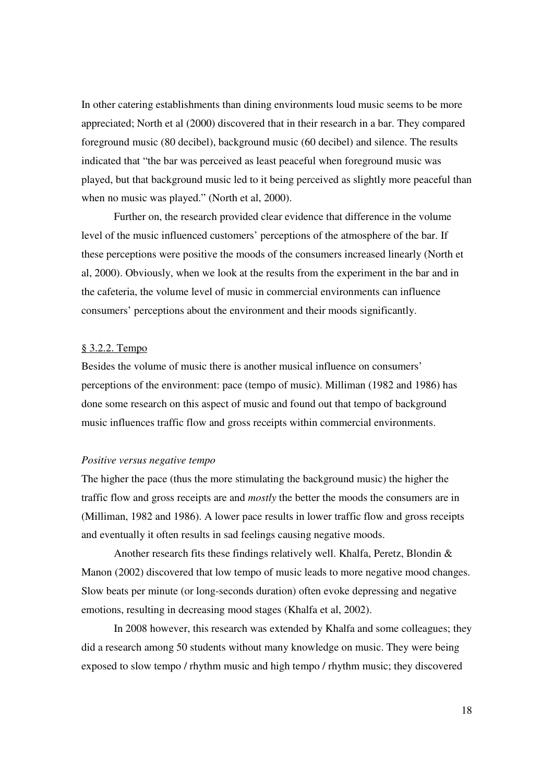In other catering establishments than dining environments loud music seems to be more appreciated; North et al (2000) discovered that in their research in a bar. They compared foreground music (80 decibel), background music (60 decibel) and silence. The results indicated that "the bar was perceived as least peaceful when foreground music was played, but that background music led to it being perceived as slightly more peaceful than when no music was played." (North et al, 2000).

 Further on, the research provided clear evidence that difference in the volume level of the music influenced customers' perceptions of the atmosphere of the bar. If these perceptions were positive the moods of the consumers increased linearly (North et al, 2000). Obviously, when we look at the results from the experiment in the bar and in the cafeteria, the volume level of music in commercial environments can influence consumers' perceptions about the environment and their moods significantly.

# § 3.2.2. Tempo

Besides the volume of music there is another musical influence on consumers' perceptions of the environment: pace (tempo of music). Milliman (1982 and 1986) has done some research on this aspect of music and found out that tempo of background music influences traffic flow and gross receipts within commercial environments.

#### *Positive versus negative tempo*

The higher the pace (thus the more stimulating the background music) the higher the traffic flow and gross receipts are and *mostly* the better the moods the consumers are in (Milliman, 1982 and 1986). A lower pace results in lower traffic flow and gross receipts and eventually it often results in sad feelings causing negative moods.

 Another research fits these findings relatively well. Khalfa, Peretz, Blondin & Manon (2002) discovered that low tempo of music leads to more negative mood changes. Slow beats per minute (or long-seconds duration) often evoke depressing and negative emotions, resulting in decreasing mood stages (Khalfa et al, 2002).

 In 2008 however, this research was extended by Khalfa and some colleagues; they did a research among 50 students without many knowledge on music. They were being exposed to slow tempo / rhythm music and high tempo / rhythm music; they discovered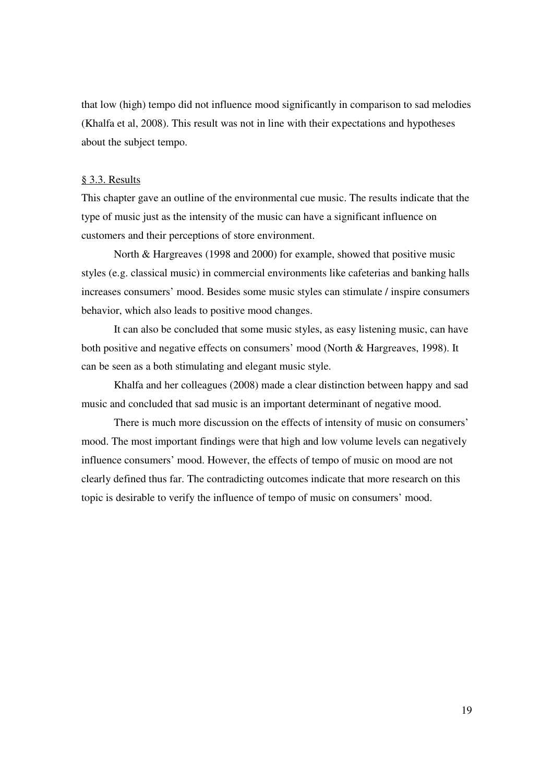that low (high) tempo did not influence mood significantly in comparison to sad melodies (Khalfa et al, 2008). This result was not in line with their expectations and hypotheses about the subject tempo.

# § 3.3. Results

This chapter gave an outline of the environmental cue music. The results indicate that the type of music just as the intensity of the music can have a significant influence on customers and their perceptions of store environment.

 North & Hargreaves (1998 and 2000) for example, showed that positive music styles (e.g. classical music) in commercial environments like cafeterias and banking halls increases consumers' mood. Besides some music styles can stimulate / inspire consumers behavior, which also leads to positive mood changes.

 It can also be concluded that some music styles, as easy listening music, can have both positive and negative effects on consumers' mood (North & Hargreaves, 1998). It can be seen as a both stimulating and elegant music style.

 Khalfa and her colleagues (2008) made a clear distinction between happy and sad music and concluded that sad music is an important determinant of negative mood.

 There is much more discussion on the effects of intensity of music on consumers' mood. The most important findings were that high and low volume levels can negatively influence consumers' mood. However, the effects of tempo of music on mood are not clearly defined thus far. The contradicting outcomes indicate that more research on this topic is desirable to verify the influence of tempo of music on consumers' mood.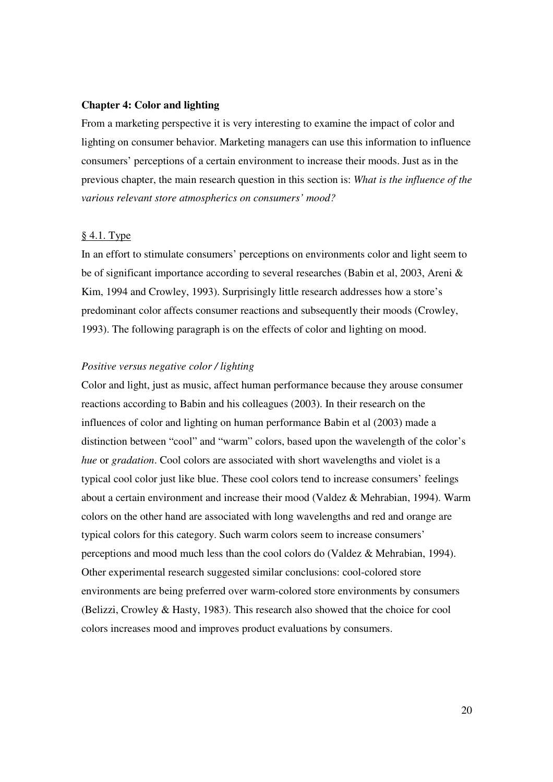# **Chapter 4: Color and lighting**

From a marketing perspective it is very interesting to examine the impact of color and lighting on consumer behavior. Marketing managers can use this information to influence consumers' perceptions of a certain environment to increase their moods. Just as in the previous chapter, the main research question in this section is: *What is the influence of the various relevant store atmospherics on consumers' mood?* 

# § 4.1. Type

In an effort to stimulate consumers' perceptions on environments color and light seem to be of significant importance according to several researches (Babin et al, 2003, Areni & Kim, 1994 and Crowley, 1993). Surprisingly little research addresses how a store's predominant color affects consumer reactions and subsequently their moods (Crowley, 1993). The following paragraph is on the effects of color and lighting on mood.

# *Positive versus negative color / lighting*

Color and light, just as music, affect human performance because they arouse consumer reactions according to Babin and his colleagues (2003). In their research on the influences of color and lighting on human performance Babin et al (2003) made a distinction between "cool" and "warm" colors, based upon the wavelength of the color's *hue* or *gradation*. Cool colors are associated with short wavelengths and violet is a typical cool color just like blue. These cool colors tend to increase consumers' feelings about a certain environment and increase their mood (Valdez & Mehrabian, 1994). Warm colors on the other hand are associated with long wavelengths and red and orange are typical colors for this category. Such warm colors seem to increase consumers' perceptions and mood much less than the cool colors do (Valdez & Mehrabian, 1994). Other experimental research suggested similar conclusions: cool-colored store environments are being preferred over warm-colored store environments by consumers (Belizzi, Crowley & Hasty, 1983). This research also showed that the choice for cool colors increases mood and improves product evaluations by consumers.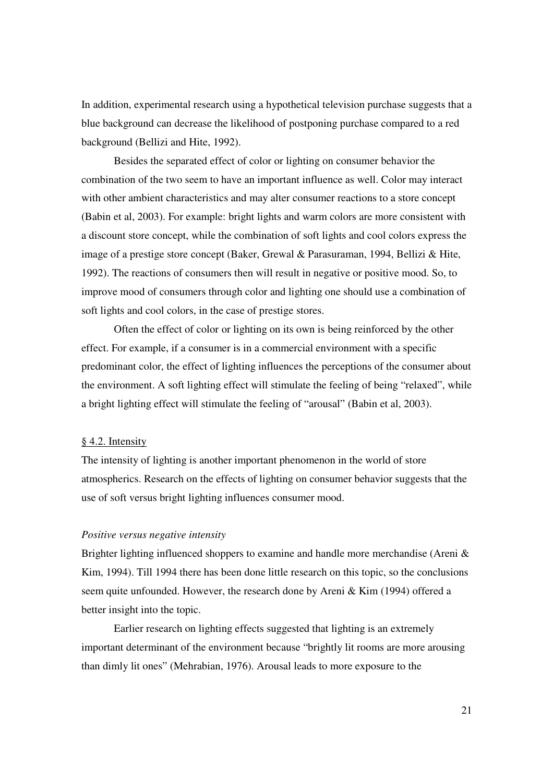In addition, experimental research using a hypothetical television purchase suggests that a blue background can decrease the likelihood of postponing purchase compared to a red background (Bellizi and Hite, 1992).

 Besides the separated effect of color or lighting on consumer behavior the combination of the two seem to have an important influence as well. Color may interact with other ambient characteristics and may alter consumer reactions to a store concept (Babin et al, 2003). For example: bright lights and warm colors are more consistent with a discount store concept, while the combination of soft lights and cool colors express the image of a prestige store concept (Baker, Grewal & Parasuraman, 1994, Bellizi & Hite, 1992). The reactions of consumers then will result in negative or positive mood. So, to improve mood of consumers through color and lighting one should use a combination of soft lights and cool colors, in the case of prestige stores.

 Often the effect of color or lighting on its own is being reinforced by the other effect. For example, if a consumer is in a commercial environment with a specific predominant color, the effect of lighting influences the perceptions of the consumer about the environment. A soft lighting effect will stimulate the feeling of being "relaxed", while a bright lighting effect will stimulate the feeling of "arousal" (Babin et al, 2003).

# § 4.2. Intensity

The intensity of lighting is another important phenomenon in the world of store atmospherics. Research on the effects of lighting on consumer behavior suggests that the use of soft versus bright lighting influences consumer mood.

# *Positive versus negative intensity*

Brighter lighting influenced shoppers to examine and handle more merchandise (Areni & Kim, 1994). Till 1994 there has been done little research on this topic, so the conclusions seem quite unfounded. However, the research done by Areni & Kim (1994) offered a better insight into the topic.

 Earlier research on lighting effects suggested that lighting is an extremely important determinant of the environment because "brightly lit rooms are more arousing than dimly lit ones" (Mehrabian, 1976). Arousal leads to more exposure to the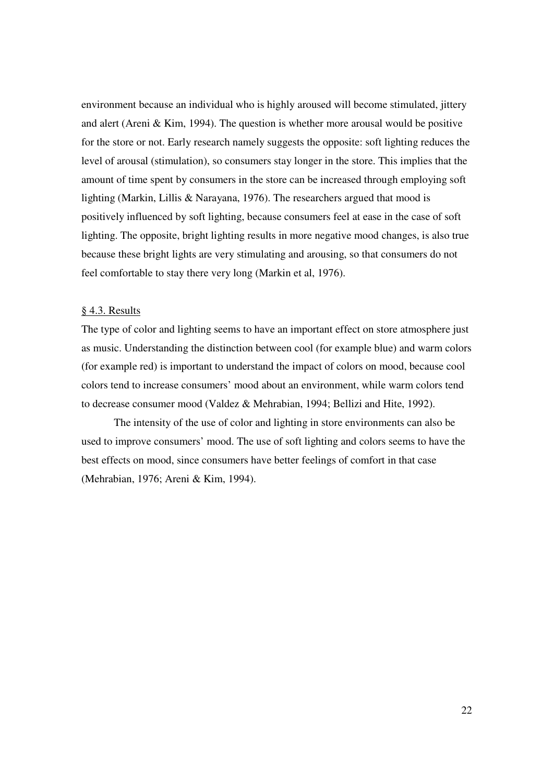environment because an individual who is highly aroused will become stimulated, jittery and alert (Areni & Kim, 1994). The question is whether more arousal would be positive for the store or not. Early research namely suggests the opposite: soft lighting reduces the level of arousal (stimulation), so consumers stay longer in the store. This implies that the amount of time spent by consumers in the store can be increased through employing soft lighting (Markin, Lillis & Narayana, 1976). The researchers argued that mood is positively influenced by soft lighting, because consumers feel at ease in the case of soft lighting. The opposite, bright lighting results in more negative mood changes, is also true because these bright lights are very stimulating and arousing, so that consumers do not feel comfortable to stay there very long (Markin et al, 1976).

# § 4.3. Results

The type of color and lighting seems to have an important effect on store atmosphere just as music. Understanding the distinction between cool (for example blue) and warm colors (for example red) is important to understand the impact of colors on mood, because cool colors tend to increase consumers' mood about an environment, while warm colors tend to decrease consumer mood (Valdez & Mehrabian, 1994; Bellizi and Hite, 1992).

The intensity of the use of color and lighting in store environments can also be used to improve consumers' mood. The use of soft lighting and colors seems to have the best effects on mood, since consumers have better feelings of comfort in that case (Mehrabian, 1976; Areni & Kim, 1994).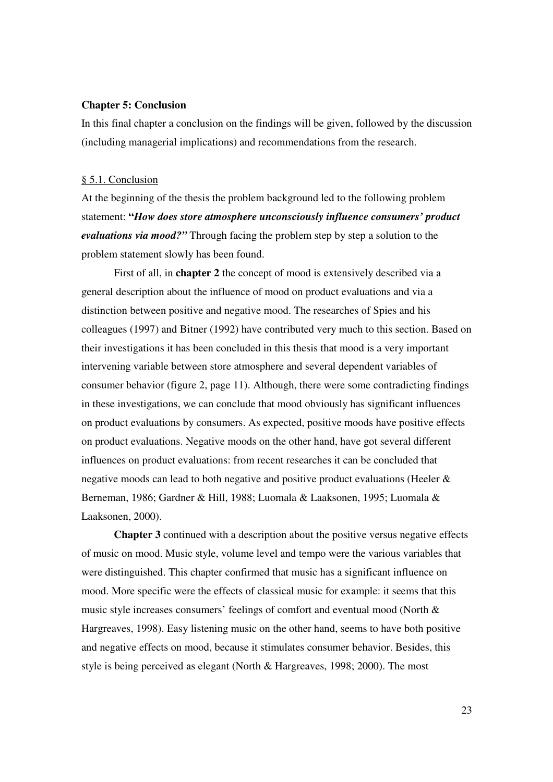#### **Chapter 5: Conclusion**

In this final chapter a conclusion on the findings will be given, followed by the discussion (including managerial implications) and recommendations from the research.

# § 5.1. Conclusion

At the beginning of the thesis the problem background led to the following problem statement: **"***How does store atmosphere unconsciously influence consumers' product evaluations via mood?"* Through facing the problem step by step a solution to the problem statement slowly has been found.

 First of all, in **chapter 2** the concept of mood is extensively described via a general description about the influence of mood on product evaluations and via a distinction between positive and negative mood. The researches of Spies and his colleagues (1997) and Bitner (1992) have contributed very much to this section. Based on their investigations it has been concluded in this thesis that mood is a very important intervening variable between store atmosphere and several dependent variables of consumer behavior (figure 2, page 11). Although, there were some contradicting findings in these investigations, we can conclude that mood obviously has significant influences on product evaluations by consumers. As expected, positive moods have positive effects on product evaluations. Negative moods on the other hand, have got several different influences on product evaluations: from recent researches it can be concluded that negative moods can lead to both negative and positive product evaluations (Heeler & Berneman, 1986; Gardner & Hill, 1988; Luomala & Laaksonen, 1995; Luomala & Laaksonen, 2000).

**Chapter 3** continued with a description about the positive versus negative effects of music on mood. Music style, volume level and tempo were the various variables that were distinguished. This chapter confirmed that music has a significant influence on mood. More specific were the effects of classical music for example: it seems that this music style increases consumers' feelings of comfort and eventual mood (North & Hargreaves, 1998). Easy listening music on the other hand, seems to have both positive and negative effects on mood, because it stimulates consumer behavior. Besides, this style is being perceived as elegant (North & Hargreaves, 1998; 2000). The most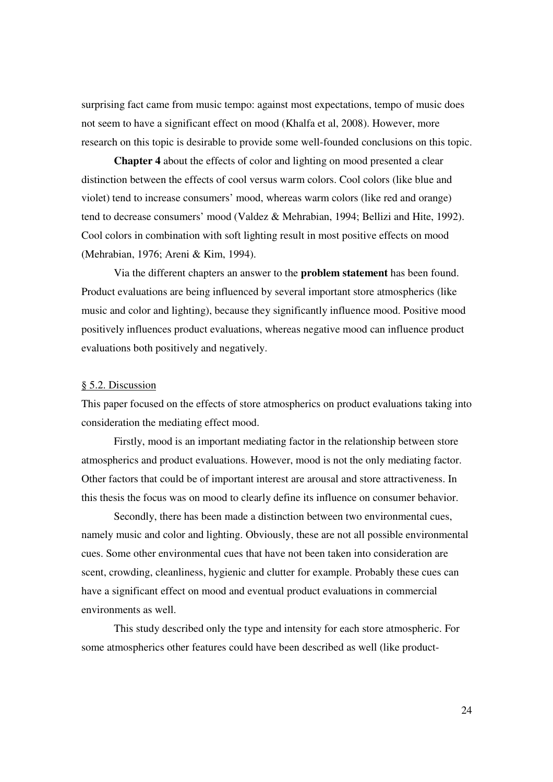surprising fact came from music tempo: against most expectations, tempo of music does not seem to have a significant effect on mood (Khalfa et al, 2008). However, more research on this topic is desirable to provide some well-founded conclusions on this topic.

**Chapter 4** about the effects of color and lighting on mood presented a clear distinction between the effects of cool versus warm colors. Cool colors (like blue and violet) tend to increase consumers' mood, whereas warm colors (like red and orange) tend to decrease consumers' mood (Valdez & Mehrabian, 1994; Bellizi and Hite, 1992). Cool colors in combination with soft lighting result in most positive effects on mood (Mehrabian, 1976; Areni & Kim, 1994).

 Via the different chapters an answer to the **problem statement** has been found. Product evaluations are being influenced by several important store atmospherics (like music and color and lighting), because they significantly influence mood. Positive mood positively influences product evaluations, whereas negative mood can influence product evaluations both positively and negatively.

#### § 5.2. Discussion

This paper focused on the effects of store atmospherics on product evaluations taking into consideration the mediating effect mood.

 Firstly, mood is an important mediating factor in the relationship between store atmospherics and product evaluations. However, mood is not the only mediating factor. Other factors that could be of important interest are arousal and store attractiveness. In this thesis the focus was on mood to clearly define its influence on consumer behavior.

 Secondly, there has been made a distinction between two environmental cues, namely music and color and lighting. Obviously, these are not all possible environmental cues. Some other environmental cues that have not been taken into consideration are scent, crowding, cleanliness, hygienic and clutter for example. Probably these cues can have a significant effect on mood and eventual product evaluations in commercial environments as well.

 This study described only the type and intensity for each store atmospheric. For some atmospherics other features could have been described as well (like product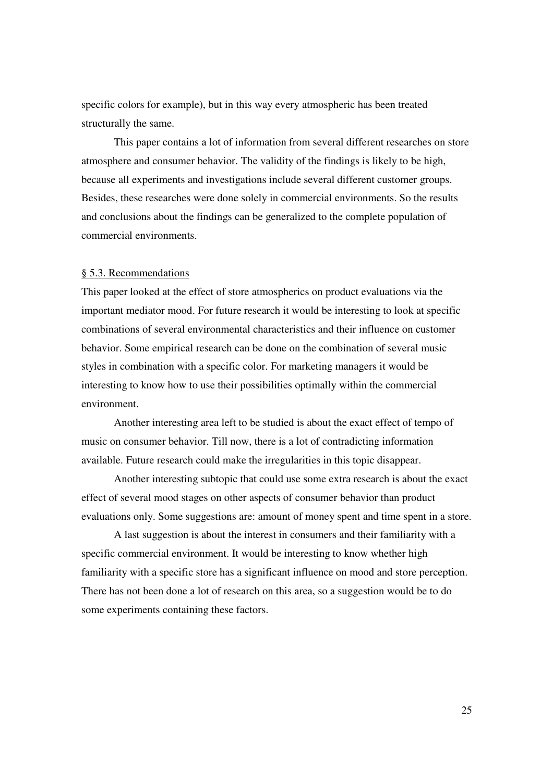specific colors for example), but in this way every atmospheric has been treated structurally the same.

 This paper contains a lot of information from several different researches on store atmosphere and consumer behavior. The validity of the findings is likely to be high, because all experiments and investigations include several different customer groups. Besides, these researches were done solely in commercial environments. So the results and conclusions about the findings can be generalized to the complete population of commercial environments.

#### § 5.3. Recommendations

This paper looked at the effect of store atmospherics on product evaluations via the important mediator mood. For future research it would be interesting to look at specific combinations of several environmental characteristics and their influence on customer behavior. Some empirical research can be done on the combination of several music styles in combination with a specific color. For marketing managers it would be interesting to know how to use their possibilities optimally within the commercial environment.

 Another interesting area left to be studied is about the exact effect of tempo of music on consumer behavior. Till now, there is a lot of contradicting information available. Future research could make the irregularities in this topic disappear.

 Another interesting subtopic that could use some extra research is about the exact effect of several mood stages on other aspects of consumer behavior than product evaluations only. Some suggestions are: amount of money spent and time spent in a store.

 A last suggestion is about the interest in consumers and their familiarity with a specific commercial environment. It would be interesting to know whether high familiarity with a specific store has a significant influence on mood and store perception. There has not been done a lot of research on this area, so a suggestion would be to do some experiments containing these factors.

25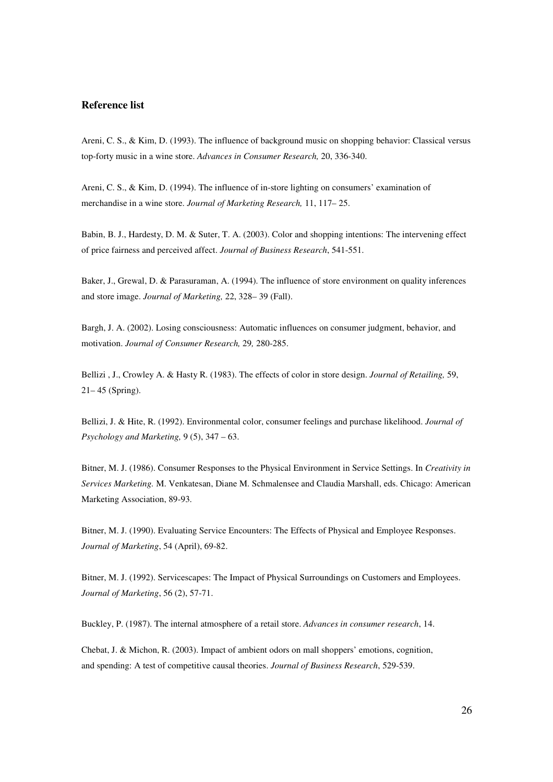# **Reference list**

Areni, C. S., & Kim, D. (1993). The influence of background music on shopping behavior: Classical versus top-forty music in a wine store. *Advances in Consumer Research,* 20, 336-340.

Areni, C. S., & Kim, D. (1994). The influence of in-store lighting on consumers' examination of merchandise in a wine store. *Journal of Marketing Research,* 11, 117– 25.

Babin, B. J., Hardesty, D. M. & Suter, T. A. (2003). Color and shopping intentions: The intervening effect of price fairness and perceived affect. *Journal of Business Research*, 541-551.

Baker, J., Grewal, D. & Parasuraman, A. (1994). The influence of store environment on quality inferences and store image. *Journal of Marketing,* 22, 328– 39 (Fall).

Bargh, J. A. (2002). Losing consciousness: Automatic influences on consumer judgment, behavior, and motivation. *Journal of Consumer Research,* 29*,* 280-285.

Bellizi , J., Crowley A. & Hasty R. (1983). The effects of color in store design. *Journal of Retailing,* 59, 21– 45 (Spring).

Bellizi, J. & Hite, R. (1992). Environmental color, consumer feelings and purchase likelihood. *Journal of Psychology and Marketing,* 9 (5), 347 – 63.

Bitner, M. J. (1986). Consumer Responses to the Physical Environment in Service Settings. In *Creativity in Services Marketing.* M. Venkatesan, Diane M. Schmalensee and Claudia Marshall, eds. Chicago: American Marketing Association, 89-93.

Bitner, M. J. (1990). Evaluating Service Encounters: The Effects of Physical and Employee Responses. *Journal of Marketing*, 54 (April), 69-82.

Bitner, M. J. (1992). Servicescapes: The Impact of Physical Surroundings on Customers and Employees. *Journal of Marketing*, 56 (2), 57-71.

Buckley, P. (1987). The internal atmosphere of a retail store. *Advances in consumer research*, 14.

Chebat, J. & Michon, R. (2003). Impact of ambient odors on mall shoppers' emotions, cognition, and spending: A test of competitive causal theories. *Journal of Business Research*, 529-539.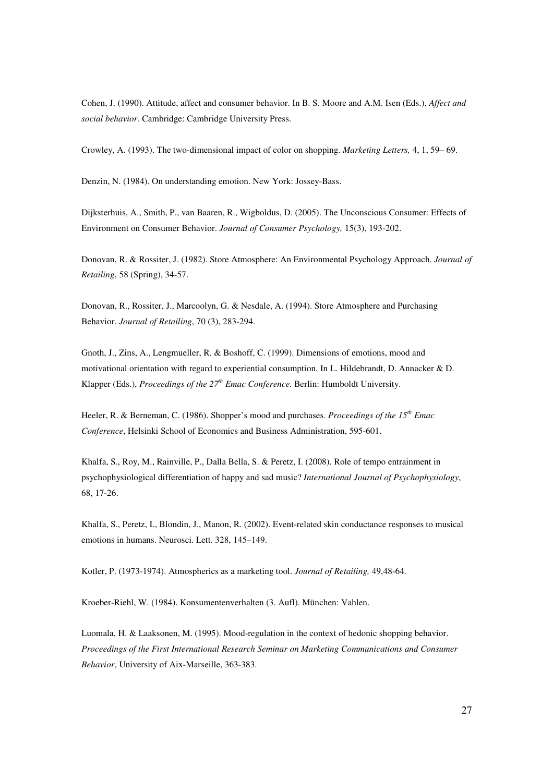Cohen, J. (1990). Attitude, affect and consumer behavior. In B. S. Moore and A.M. Isen (Eds.), *Affect and social behavior.* Cambridge: Cambridge University Press.

Crowley, A. (1993). The two-dimensional impact of color on shopping. *Marketing Letters,* 4, 1, 59– 69.

Denzin, N. (1984). On understanding emotion. New York: Jossey-Bass.

Dijksterhuis, A., Smith, P., van Baaren, R., Wigboldus, D. (2005). The Unconscious Consumer: Effects of Environment on Consumer Behavior. *Journal of Consumer Psychology,* 15(3), 193-202.

Donovan, R. & Rossiter, J. (1982). Store Atmosphere: An Environmental Psychology Approach. *Journal of Retailing*, 58 (Spring), 34-57.

Donovan, R., Rossiter, J., Marcoolyn, G. & Nesdale, A. (1994). Store Atmosphere and Purchasing Behavior. *Journal of Retailing*, 70 (3), 283-294.

Gnoth, J., Zins, A., Lengmueller, R. & Boshoff, C. (1999). Dimensions of emotions, mood and motivational orientation with regard to experiential consumption. In L. Hildebrandt, D. Annacker & D. Klapper (Eds.), *Proceedings of the 27th Emac Conference.* Berlin: Humboldt University.

Heeler, R. & Berneman, C. (1986). Shopper's mood and purchases. *Proceedings of the 15th Emac Conference*, Helsinki School of Economics and Business Administration, 595-601.

Khalfa, S., Roy, M., Rainville, P., Dalla Bella, S. & Peretz, I. (2008). Role of tempo entrainment in psychophysiological differentiation of happy and sad music? *International Journal of Psychophysiology*, 68, 17-26.

Khalfa, S., Peretz, I., Blondin, J., Manon, R. (2002). Event-related skin conductance responses to musical emotions in humans. Neurosci. Lett. 328, 145–149.

Kotler, P. (1973-1974). Atmospherics as a marketing tool. *Journal of Retailing,* 49,48-64*.*

Kroeber-Riehl, W. (1984). Konsumentenverhalten (3. Aufl). München: Vahlen.

Luomala, H. & Laaksonen, M. (1995). Mood-regulation in the context of hedonic shopping behavior. *Proceedings of the First International Research Seminar on Marketing Communications and Consumer Behavior*, University of Aix-Marseille, 363-383.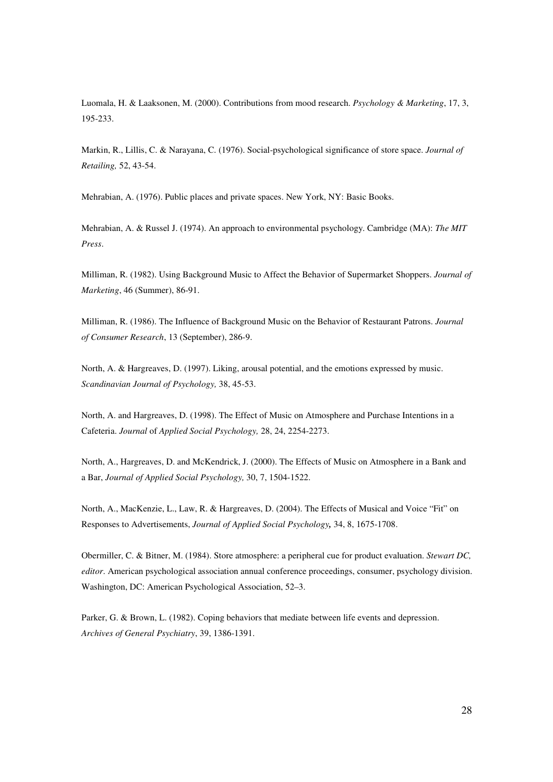Luomala, H. & Laaksonen, M. (2000). Contributions from mood research. *Psychology & Marketing*, 17, 3, 195-233.

Markin, R., Lillis, C. & Narayana, C. (1976). Social-psychological significance of store space. *Journal of Retailing,* 52, 43-54.

Mehrabian, A. (1976). Public places and private spaces. New York, NY: Basic Books.

Mehrabian, A. & Russel J. (1974). An approach to environmental psychology. Cambridge (MA): *The MIT Press*.

Milliman, R. (1982). Using Background Music to Affect the Behavior of Supermarket Shoppers. *Journal of Marketing*, 46 (Summer), 86-91.

Milliman, R. (1986). The Influence of Background Music on the Behavior of Restaurant Patrons. *Journal of Consumer Research*, 13 (September), 286-9.

North, A. & Hargreaves, D. (1997). Liking, arousal potential, and the emotions expressed by music. *Scandinavian Journal of Psychology,* 38, 45-53.

North, A. and Hargreaves, D. (1998). The Effect of Music on Atmosphere and Purchase Intentions in a Cafeteria. *Journal* of *Applied Social Psychology,* 28, 24, 2254-2273.

North, A., Hargreaves, D. and McKendrick, J. (2000). The Effects of Music on Atmosphere in a Bank and a Bar, *Journal of Applied Social Psychology,* 30, 7, 1504-1522.

North, A., MacKenzie, L., Law, R. & Hargreaves, D. (2004). The Effects of Musical and Voice "Fit" on Responses to Advertisements, *Journal of Applied Social Psychology,* 34, 8, 1675-1708.

Obermiller, C. & Bitner, M. (1984). Store atmosphere: a peripheral cue for product evaluation. *Stewart DC, editor*. American psychological association annual conference proceedings, consumer, psychology division. Washington, DC: American Psychological Association, 52–3.

Parker, G. & Brown, L. (1982). Coping behaviors that mediate between life events and depression. *Archives of General Psychiatry*, 39, 1386-1391.